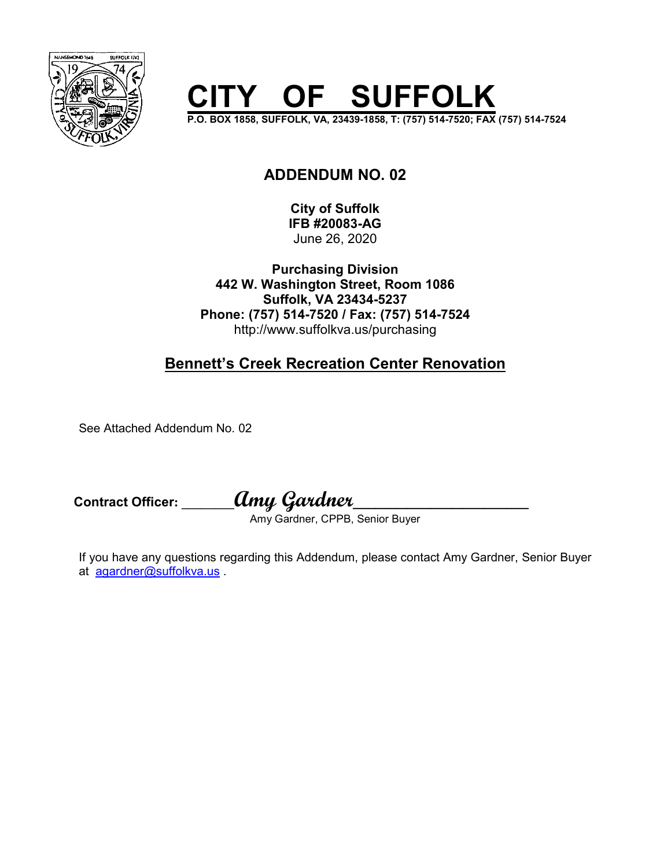

# **OF SUFFOLK**

**P.O. BOX 1858, SUFFOLK, VA, 23439-1858, T: (757) 514-7520; FAX (757) 514-7524** 

### **ADDENDUM NO. 02**

**City of Suffolk IFB #20083-AG**  June 26, 2020

**Purchasing Division 442 W. Washington Street, Room 1086 Suffolk, VA 23434-5237 Phone: (757) 514-7520 / Fax: (757) 514-7524**  http://www.suffolkva.us/purchasing

# **Bennett's Creek Recreation Center Renovation**

See Attached Addendum No. 02

**Contract Officer: \_\_\_\_\_\_\_\_Amy Gardner\_\_\_\_\_\_\_\_\_\_\_\_\_\_\_\_** 

Amy Gardner, CPPB, Senior Buyer

If you have any questions regarding this Addendum, please contact Amy Gardner, Senior Buyer at agardner@suffolkva.us .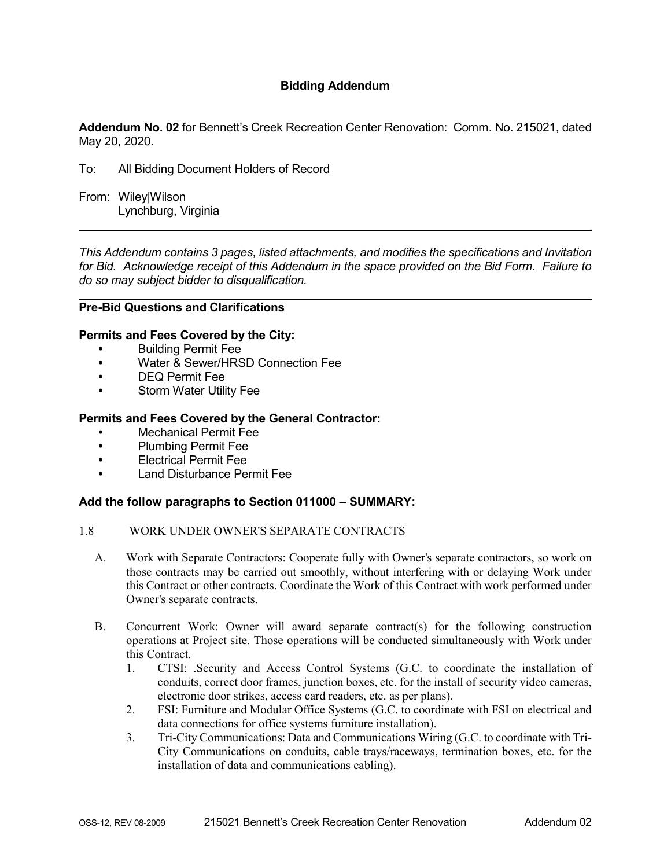#### **Bidding Addendum**

**Addendum No. 02** for Bennett's Creek Recreation Center Renovation: Comm. No. 215021, dated May 20, 2020.

- To: All Bidding Document Holders of Record
- From: Wiley|Wilson Lynchburg, Virginia

*This Addendum contains 3 pages, listed attachments, and modifies the specifications and Invitation for Bid. Acknowledge receipt of this Addendum in the space provided on the Bid Form. Failure to do so may subject bidder to disqualification.* 

#### **Pre-Bid Questions and Clarifications**

#### **Permits and Fees Covered by the City:**

- Building Permit Fee
- Water & Sewer/HRSD Connection Fee
- DEQ Permit Fee
- Storm Water Utility Fee

#### **Permits and Fees Covered by the General Contractor:**

- Mechanical Permit Fee
- Plumbing Permit Fee
- Electrical Permit Fee
- Land Disturbance Permit Fee

#### **Add the follow paragraphs to Section 011000 – SUMMARY:**

#### 1.8 WORK UNDER OWNER'S SEPARATE CONTRACTS

- A. Work with Separate Contractors: Cooperate fully with Owner's separate contractors, so work on those contracts may be carried out smoothly, without interfering with or delaying Work under this Contract or other contracts. Coordinate the Work of this Contract with work performed under Owner's separate contracts.
- B. Concurrent Work: Owner will award separate contract(s) for the following construction operations at Project site. Those operations will be conducted simultaneously with Work under this Contract.
	- 1. CTSI: .Security and Access Control Systems (G.C. to coordinate the installation of conduits, correct door frames, junction boxes, etc. for the install of security video cameras, electronic door strikes, access card readers, etc. as per plans).
	- 2. FSI: Furniture and Modular Office Systems (G.C. to coordinate with FSI on electrical and data connections for office systems furniture installation).
	- 3. Tri-City Communications: Data and Communications Wiring (G.C. to coordinate with Tri-City Communications on conduits, cable trays/raceways, termination boxes, etc. for the installation of data and communications cabling).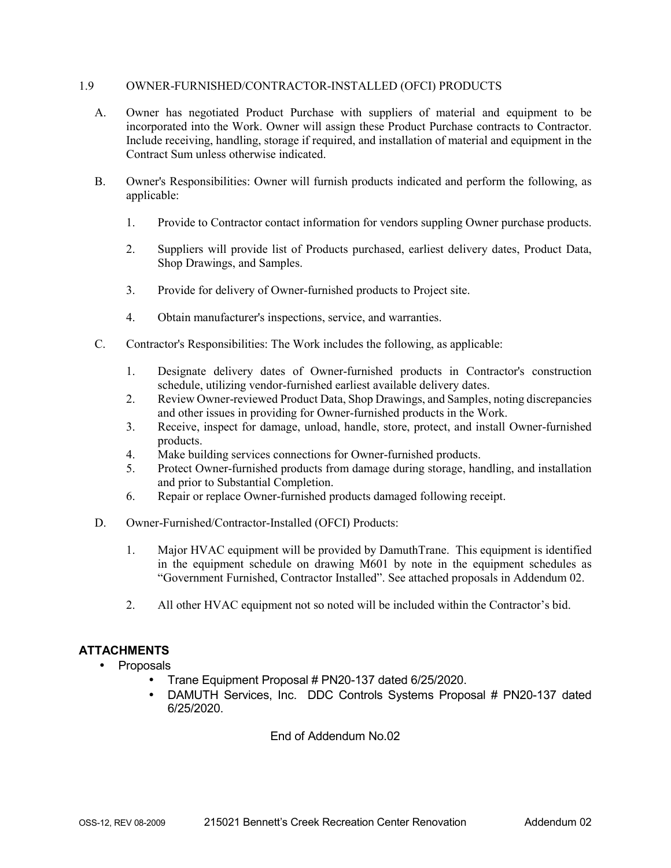#### 1.9 OWNER-FURNISHED/CONTRACTOR-INSTALLED (OFCI) PRODUCTS

- A. Owner has negotiated Product Purchase with suppliers of material and equipment to be incorporated into the Work. Owner will assign these Product Purchase contracts to Contractor. Include receiving, handling, storage if required, and installation of material and equipment in the Contract Sum unless otherwise indicated.
- B. Owner's Responsibilities: Owner will furnish products indicated and perform the following, as applicable:
	- 1. Provide to Contractor contact information for vendors suppling Owner purchase products.
	- 2. Suppliers will provide list of Products purchased, earliest delivery dates, Product Data, Shop Drawings, and Samples.
	- 3. Provide for delivery of Owner-furnished products to Project site.
	- 4. Obtain manufacturer's inspections, service, and warranties.
- C. Contractor's Responsibilities: The Work includes the following, as applicable:
	- 1. Designate delivery dates of Owner-furnished products in Contractor's construction schedule, utilizing vendor-furnished earliest available delivery dates.
	- 2. Review Owner-reviewed Product Data, Shop Drawings, and Samples, noting discrepancies and other issues in providing for Owner-furnished products in the Work.
	- 3. Receive, inspect for damage, unload, handle, store, protect, and install Owner-furnished products.
	- 4. Make building services connections for Owner-furnished products.
	- 5. Protect Owner-furnished products from damage during storage, handling, and installation and prior to Substantial Completion.
	- 6. Repair or replace Owner-furnished products damaged following receipt.
- D. Owner-Furnished/Contractor-Installed (OFCI) Products:
	- 1. Major HVAC equipment will be provided by DamuthTrane. This equipment is identified in the equipment schedule on drawing M601 by note in the equipment schedules as "Government Furnished, Contractor Installed". See attached proposals in Addendum 02.
	- 2. All other HVAC equipment not so noted will be included within the Contractor's bid.

#### **ATTACHMENTS**

- Proposals
	- Trane Equipment Proposal # PN20-137 dated 6/25/2020.
	- DAMUTH Services, Inc. DDC Controls Systems Proposal # PN20-137 dated 6/25/2020.

#### End of Addendum No.02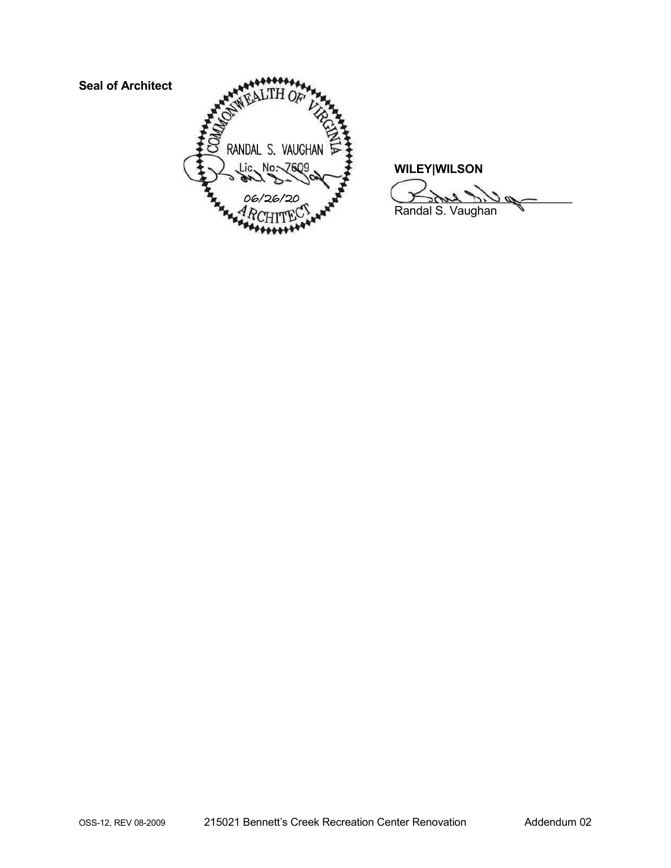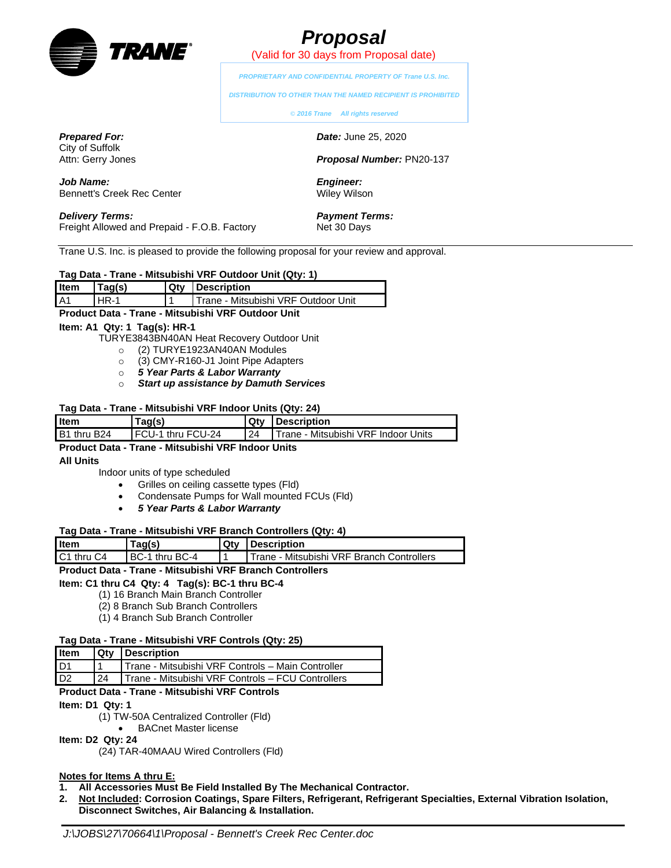

Bennett's Creek Rec Center

*Prepared For:* City of Suffolk Attn: Gerry Jones

*Job Name:*

# *Proposal*

(Valid for 30 days from Proposal date)

*PROPRIETARY AND CONFIDENTIAL PROPERTY OF Trane U.S. Inc.*

*DISTRIBUTION TO OTHER THAN THE NAMED RECIPIENT IS PROHIBITED*

**©** *2016 Trane All rights reserved*

*Date:* June 25, 2020

*Proposal Number:* PN20-137

*Engineer:* Wiley Wilson

*Payment Terms:* Net 30 Days

*Delivery Terms:* Freight Allowed and Prepaid - F.O.B. Factory

Trane U.S. Inc. is pleased to provide the following proposal for your review and approval.

| Tag Data - Trane - Mitsubishi VRF Outdoor Unit (Qty: 1) |  |  |
|---------------------------------------------------------|--|--|
|---------------------------------------------------------|--|--|

| Item | Tag(s) | <b>Qty Description</b>                       |
|------|--------|----------------------------------------------|
| A1   | l HR-1 | <b>I Trane - Mitsubishi VRF Outdoor Unit</b> |

#### **Product Data - Trane - Mitsubishi VRF Outdoor Unit**

#### **Item: A1 Qty: 1 Tag(s): HR-1**

- TURYE3843BN40AN Heat Recovery Outdoor Unit
	- o (2) TURYE1923AN40AN Modules
	- o (3) CMY-R160-J1 Joint Pipe Adapters
	- o *5 Year Parts & Labor Warranty*
	- o *Start up assistance by Damuth Services*

#### **Tag Data - Trane - Mitsubishi VRF Indoor Units (Qty: 24)**

| l Item      | Taq(s)                    | Qty | <b>Description</b>                         |
|-------------|---------------------------|-----|--------------------------------------------|
| B1 thru B24 | <b>IFCU-1 thru FCU-24</b> | 24  | <b>Trane - Mitsubishi VRF Indoor Units</b> |
| - - - -     |                           |     |                                            |

#### **Product Data - Trane - Mitsubishi VRF Indoor Units**

#### **All Units**

Indoor units of type scheduled

- Grilles on ceiling cassette types (Fld)
- Condensate Pumps for Wall mounted FCUs (Fld)
- *5 Year Parts & Labor Warranty*

#### **Tag Data - Trane - Mitsubishi VRF Branch Controllers (Qty: 4)**

| l Item                             | 'aq(s)                 | Qty | <b>I</b> Description                        |
|------------------------------------|------------------------|-----|---------------------------------------------|
| C <sub>1</sub> thru C <sub>4</sub> | <b>IBC-1 thru BC-4</b> |     | l Trane - Mitsubishi VRF Branch Controllers |

#### **Product Data - Trane - Mitsubishi VRF Branch Controllers**

#### **Item: C1 thru C4 Qty: 4 Tag(s): BC-1 thru BC-4**

- (1) 16 Branch Main Branch Controller
- (2) 8 Branch Sub Branch Controllers
- (1) 4 Branch Sub Branch Controller

#### **Tag Data - Trane - Mitsubishi VRF Controls (Qty: 25)**

| <b>Item</b>    |    | <b>Qty Description</b>                            |
|----------------|----|---------------------------------------------------|
| D1             |    | Trane - Mitsubishi VRF Controls - Main Controller |
| D <sub>2</sub> | 24 | Trane - Mitsubishi VRF Controls - FCU Controllers |

#### **Product Data - Trane - Mitsubishi VRF Controls**

**Item: D1 Qty: 1**

- (1) TW-50A Centralized Controller (Fld)
	- BACnet Master license

#### **Item: D2 Qty: 24**

(24) TAR-40MAAU Wired Controllers (Fld)

#### **Notes for Items A thru E:**

- **1. All Accessories Must Be Field Installed By The Mechanical Contractor.**
- **2. Not Included: Corrosion Coatings, Spare Filters, Refrigerant, Refrigerant Specialties, External Vibration Isolation, Disconnect Switches, Air Balancing & Installation.**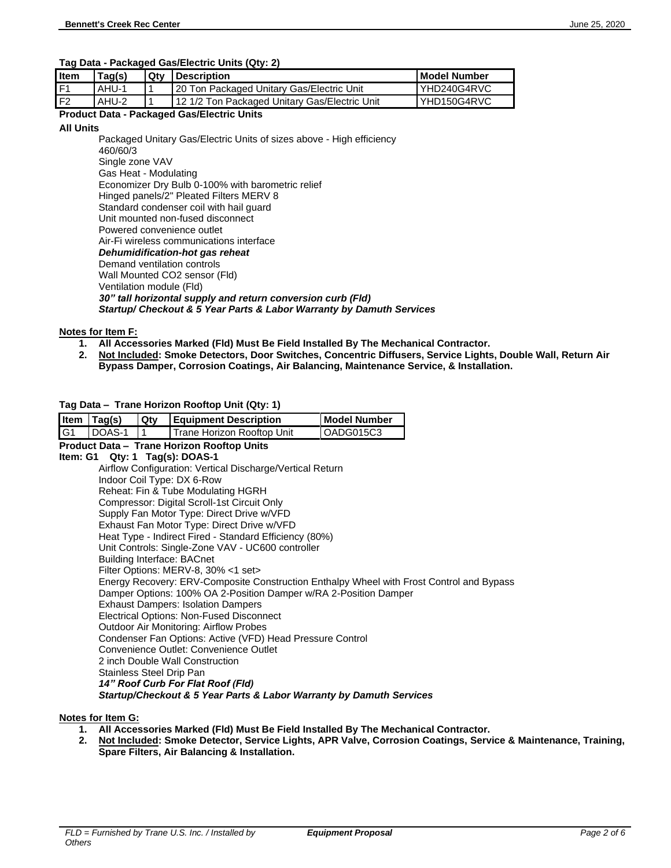#### **Tag Data - Packaged Gas/Electric Units (Qty: 2)**

| l Item | Tag(s) | Qtv | <b>Description</b>                              | l Model Number |
|--------|--------|-----|-------------------------------------------------|----------------|
| l F1   | AHU-1  |     | 20 Ton Packaged Unitary Gas/Electric Unit       | YHD240G4RVC    |
| l F2   | AHU-2  |     | I 12 1/2 Ton Packaged Unitary Gas/Electric Unit | YHD150G4RVC    |

#### **Product Data - Packaged Gas/Electric Units**

#### **All Units**

Packaged Unitary Gas/Electric Units of sizes above - High efficiency 460/60/3 Single zone VAV Gas Heat - Modulating Economizer Dry Bulb 0-100% with barometric relief Hinged panels/2" Pleated Filters MERV 8 Standard condenser coil with hail guard Unit mounted non-fused disconnect Powered convenience outlet Air-Fi wireless communications interface *Dehumidification-hot gas reheat* Demand ventilation controls Wall Mounted CO2 sensor (Fld) Ventilation module (Fld) *30" tall horizontal supply and return conversion curb (Fld) Startup/ Checkout & 5 Year Parts & Labor Warranty by Damuth Services*

#### **Notes for Item F:**

- **1. All Accessories Marked (Fld) Must Be Field Installed By The Mechanical Contractor.**
- **2. Not Included: Smoke Detectors, Door Switches, Concentric Diffusers, Service Lights, Double Wall, Return Air Bypass Damper, Corrosion Coatings, Air Balancing, Maintenance Service, & Installation.**

#### **Tag Data – Trane Horizon Rooftop Unit (Qty: 1)**

| Item           | Tag(s) | Qty | <b>Equipment Description</b>                                                                        | <b>Model Number</b> |
|----------------|--------|-----|-----------------------------------------------------------------------------------------------------|---------------------|
| G <sub>1</sub> | DOAS-1 | 1   | Trane Horizon Rooftop Unit                                                                          | OADG015C3           |
|                |        |     | Product Data - Trane Horizon Rooftop Units                                                          |                     |
|                |        |     | Item: $G1$ Qty: 1 Tag(s): DOAS-1                                                                    |                     |
|                |        |     | Airflow Configuration: Vertical Discharge/Vertical Return                                           |                     |
|                |        |     | Indoor Coil Type: DX 6-Row                                                                          |                     |
|                |        |     | Reheat: Fin & Tube Modulating HGRH                                                                  |                     |
|                |        |     | Compressor: Digital Scroll-1st Circuit Only                                                         |                     |
|                |        |     | Supply Fan Motor Type: Direct Drive w/VFD                                                           |                     |
|                |        |     | Exhaust Fan Motor Type: Direct Drive w/VFD                                                          |                     |
|                |        |     | Heat Type - Indirect Fired - Standard Efficiency (80%)                                              |                     |
|                |        |     | Unit Controls: Single-Zone VAV - UC600 controller                                                   |                     |
|                |        |     | <b>Building Interface: BACnet</b>                                                                   |                     |
|                |        |     | Filter Options: MERV-8, 30% <1 set>                                                                 |                     |
|                |        |     | Energy Recovery: ERV-Composite Construction Enthalpy Wheel with Frost Control and Bypass            |                     |
|                |        |     | Damper Options: 100% OA 2-Position Damper w/RA 2-Position Damper                                    |                     |
|                |        |     | <b>Exhaust Dampers: Isolation Dampers</b>                                                           |                     |
|                |        |     | Electrical Options: Non-Fused Disconnect                                                            |                     |
|                |        |     | <b>Outdoor Air Monitoring: Airflow Probes</b>                                                       |                     |
|                |        |     | Condenser Fan Options: Active (VFD) Head Pressure Control<br>Convenience Outlet: Convenience Outlet |                     |
|                |        |     | 2 inch Double Wall Construction                                                                     |                     |
|                |        |     | Stainless Steel Drip Pan                                                                            |                     |
|                |        |     | 14" Roof Curb For Flat Roof (Fld)                                                                   |                     |
|                |        |     | Startup/Checkout & 5 Year Parts & Labor Warranty by Damuth Services                                 |                     |
|                |        |     |                                                                                                     |                     |

#### **Notes for Item G:**

- **1. All Accessories Marked (Fld) Must Be Field Installed By The Mechanical Contractor.**
- **2. Not Included: Smoke Detector, Service Lights, APR Valve, Corrosion Coatings, Service & Maintenance, Training, Spare Filters, Air Balancing & Installation.**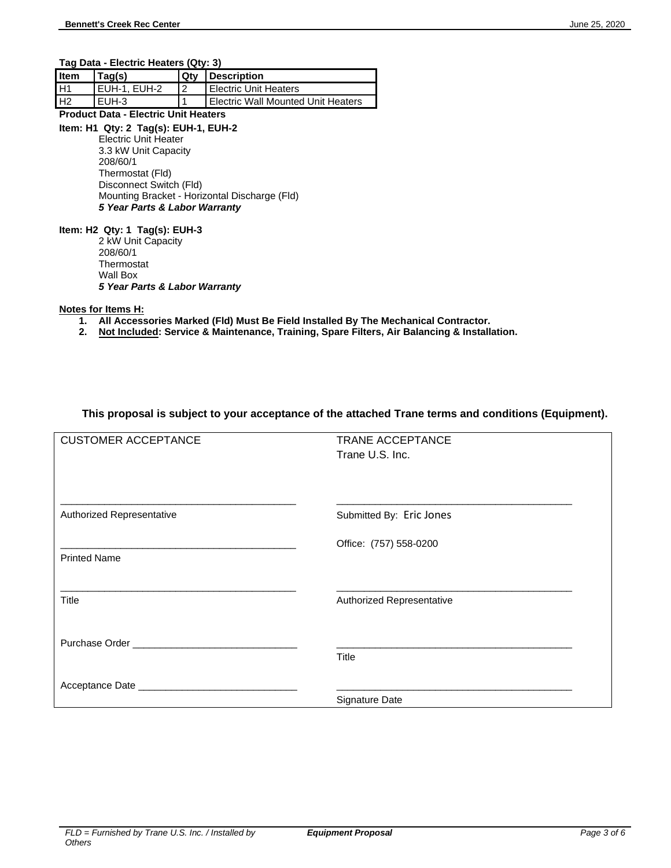**Tag Data - Electric Heaters (Qty: 3)**

| <b>Item</b> | Taq(s)       |   | <b>Qty Description</b>             |
|-------------|--------------|---|------------------------------------|
| <b>H1</b>   | EUH-1. EUH-2 | 2 | <b>I Electric Unit Heaters</b>     |
| l H2        | EUH-3        |   | Electric Wall Mounted Unit Heaters |

#### **Product Data - Electric Unit Heaters**

#### **Item: H1 Qty: 2 Tag(s): EUH-1, EUH-2**

Electric Unit Heater 3.3 kW Unit Capacity 208/60/1 Thermostat (Fld) Disconnect Switch (Fld) Mounting Bracket - Horizontal Discharge (Fld) *5 Year Parts & Labor Warranty*

#### **Item: H2 Qty: 1 Tag(s): EUH-3**

2 kW Unit Capacity 208/60/1 **Thermostat** Wall Box *5 Year Parts & Labor Warranty*

#### **Notes for Items H:**

- **1. All Accessories Marked (Fld) Must Be Field Installed By The Mechanical Contractor.**
- **2. Not Included: Service & Maintenance, Training, Spare Filters, Air Balancing & Installation.**

#### **This proposal is subject to your acceptance of the attached Trane terms and conditions (Equipment).**

| <b>CUSTOMER ACCEPTANCE</b>             | <b>TRANE ACCEPTANCE</b><br>Trane U.S. Inc. |
|----------------------------------------|--------------------------------------------|
| Authorized Representative              | Submitted By: Eric Jones                   |
| <b>Printed Name</b>                    | Office: (757) 558-0200                     |
| Title                                  | Authorized Representative                  |
| Purchase Order New York Purchase Order | <b>Title</b>                               |
|                                        | Signature Date                             |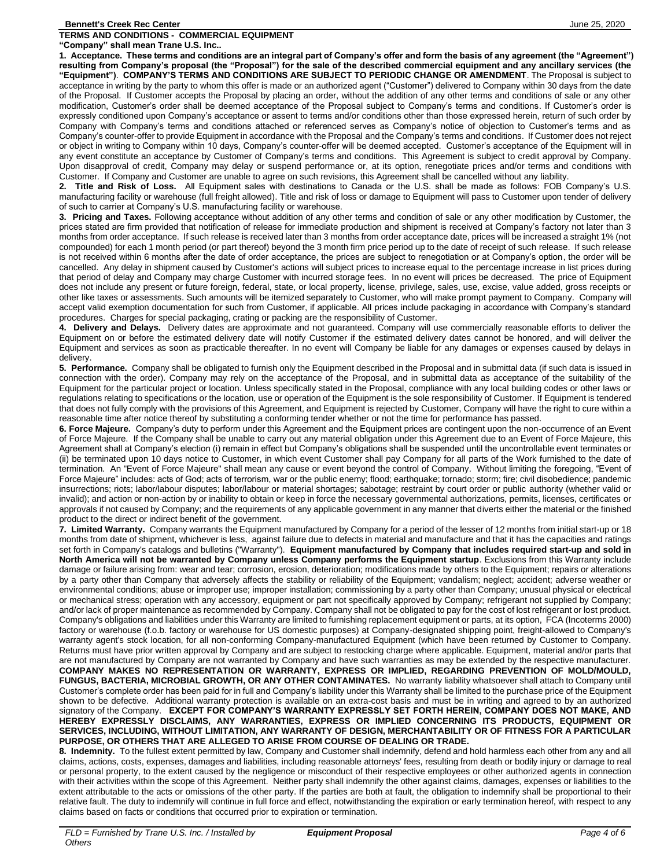**TERMS AND CONDITIONS - COMMERCIAL EQUIPMENT**

**"Company" shall mean Trane U.S. Inc.. 1. Acceptance. These terms and conditions are an integral part of Company's offer and form the basis of any agreement (the "Agreement") resulting from Company's proposal (the "Proposal") for the sale of the described commercial equipment and any ancillary services (the "Equipment")**. **COMPANY'S TERMS AND CONDITIONS ARE SUBJECT TO PERIODIC CHANGE OR AMENDMENT**. The Proposal is subject to acceptance in writing by the party to whom this offer is made or an authorized agent ("Customer") delivered to Company within 30 days from the date of the Proposal. If Customer accepts the Proposal by placing an order, without the addition of any other terms and conditions of sale or any other modification, Customer's order shall be deemed acceptance of the Proposal subject to Company's terms and conditions. If Customer's order is expressly conditioned upon Company's acceptance or assent to terms and/or conditions other than those expressed herein, return of such order by Company with Company's terms and conditions attached or referenced serves as Company's notice of objection to Customer's terms and as Company's counter-offer to provide Equipment in accordance with the Proposal and the Company's terms and conditions. If Customer does not reject or object in writing to Company within 10 days, Company's counter-offer will be deemed accepted. Customer's acceptance of the Equipment will in any event constitute an acceptance by Customer of Company's terms and conditions. This Agreement is subject to credit approval by Company. Upon disapproval of credit, Company may delay or suspend performance or, at its option, renegotiate prices and/or terms and conditions with Customer. If Company and Customer are unable to agree on such revisions, this Agreement shall be cancelled without any liability.

**2. Title and Risk of Loss.** All Equipment sales with destinations to Canada or the U.S. shall be made as follows: FOB Company's U.S. manufacturing facility or warehouse (full freight allowed). Title and risk of loss or damage to Equipment will pass to Customer upon tender of delivery of such to carrier at Company's U.S. manufacturing facility or warehouse.

**3. Pricing and Taxes.** Following acceptance without addition of any other terms and condition of sale or any other modification by Customer, the prices stated are firm provided that notification of release for immediate production and shipment is received at Company's factory not later than 3 months from order acceptance. If such release is received later than 3 months from order acceptance date, prices will be increased a straight 1% (not compounded) for each 1 month period (or part thereof) beyond the 3 month firm price period up to the date of receipt of such release. If such release is not received within 6 months after the date of order acceptance, the prices are subject to renegotiation or at Company's option, the order will be cancelled. Any delay in shipment caused by Customer's actions will subject prices to increase equal to the percentage increase in list prices during that period of delay and Company may charge Customer with incurred storage fees. In no event will prices be decreased. The price of Equipment does not include any present or future foreign, federal, state, or local property, license, privilege, sales, use, excise, value added, gross receipts or other like taxes or assessments. Such amounts will be itemized separately to Customer, who will make prompt payment to Company. Company will accept valid exemption documentation for such from Customer, if applicable. All prices include packaging in accordance with Company's standard procedures. Charges for special packaging, crating or packing are the responsibility of Customer.

**4. Delivery and Delays.** Delivery dates are approximate and not guaranteed. Company will use commercially reasonable efforts to deliver the Equipment on or before the estimated delivery date will notify Customer if the estimated delivery dates cannot be honored, and will deliver the Equipment and services as soon as practicable thereafter. In no event will Company be liable for any damages or expenses caused by delays in delivery.

**5. Performance.** Company shall be obligated to furnish only the Equipment described in the Proposal and in submittal data (if such data is issued in connection with the order). Company may rely on the acceptance of the Proposal, and in submittal data as acceptance of the suitability of the Equipment for the particular project or location. Unless specifically stated in the Proposal, compliance with any local building codes or other laws or regulations relating to specifications or the location, use or operation of the Equipment is the sole responsibility of Customer. If Equipment is tendered that does not fully comply with the provisions of this Agreement, and Equipment is rejected by Customer, Company will have the right to cure within a reasonable time after notice thereof by substituting a conforming tender whether or not the time for performance has passed.

**6. Force Majeure.** Company's duty to perform under this Agreement and the Equipment prices are contingent upon the non-occurrence of an Event of Force Majeure. If the Company shall be unable to carry out any material obligation under this Agreement due to an Event of Force Majeure, this Agreement shall at Company's election (i) remain in effect but Company's obligations shall be suspended until the uncontrollable event terminates or (ii) be terminated upon 10 days notice to Customer, in which event Customer shall pay Company for all parts of the Work furnished to the date of termination. An "Event of Force Majeure" shall mean any cause or event beyond the control of Company. Without limiting the foregoing, "Event of Force Majeure" includes: acts of God; acts of terrorism, war or the public enemy; flood; earthquake; tornado; storm; fire; civil disobedience; pandemic insurrections; riots; labor/labour disputes; labor/labour or material shortages; sabotage; restraint by court order or public authority (whether valid or invalid); and action or non-action by or inability to obtain or keep in force the necessary governmental authorizations, permits, licenses, certificates or approvals if not caused by Company; and the requirements of any applicable government in any manner that diverts either the material or the finished product to the direct or indirect benefit of the government.

**7. Limited Warranty.** Company warrants the Equipment manufactured by Company for a period of the lesser of 12 months from initial start-up or 18 months from date of shipment, whichever is less, against failure due to defects in material and manufacture and that it has the capacities and ratings set forth in Company's catalogs and bulletins ("Warranty"). **Equipment manufactured by Company that includes required start-up and sold in North America will not be warranted by Company unless Company performs the Equipment startup**. Exclusions from this Warranty include damage or failure arising from: wear and tear; corrosion, erosion, deterioration; modifications made by others to the Equipment; repairs or alterations by a party other than Company that adversely affects the stability or reliability of the Equipment; vandalism; neglect; accident; adverse weather or environmental conditions; abuse or improper use; improper installation; commissioning by a party other than Company; unusual physical or electrical or mechanical stress; operation with any accessory, equipment or part not specifically approved by Company; refrigerant not supplied by Company; and/or lack of proper maintenance as recommended by Company. Company shall not be obligated to pay for the cost of lost refrigerant or lost product. Company's obligations and liabilities under this Warranty are limited to furnishing replacement equipment or parts, at its option, FCA (Incoterms 2000) factory or warehouse (f.o.b. factory or warehouse for US domestic purposes) at Company-designated shipping point, freight-allowed to Company's warranty agent's stock location, for all non-conforming Company-manufactured Equipment (which have been returned by Customer to Company. Returns must have prior written approval by Company and are subject to restocking charge where applicable. Equipment, material and/or parts that are not manufactured by Company are not warranted by Company and have such warranties as may be extended by the respective manufacturer. **COMPANY MAKES NO REPRESENTATION OR WARRANTY, EXPRESS OR IMPLIED, REGARDING PREVENTION OF MOLD/MOULD, FUNGUS, BACTERIA, MICROBIAL GROWTH, OR ANY OTHER CONTAMINATES.** No warranty liability whatsoever shall attach to Company until Customer's complete order has been paid for in full and Company's liability under this Warranty shall be limited to the purchase price of the Equipment shown to be defective. Additional warranty protection is available on an extra-cost basis and must be in writing and agreed to by an authorized signatory of the Company. **EXCEPT FOR COMPANY'S WARRANTY EXPRESSLY SET FORTH HEREIN, COMPANY DOES NOT MAKE, AND HEREBY EXPRESSLY DISCLAIMS, ANY WARRANTIES, EXPRESS OR IMPLIED CONCERNING ITS PRODUCTS, EQUIPMENT OR SERVICES, INCLUDING, WITHOUT LIMITATION, ANY WARRANTY OF DESIGN, MERCHANTABILITY OR OF FITNESS FOR A PARTICULAR PURPOSE, OR OTHERS THAT ARE ALLEGED TO ARISE FROM COURSE OF DEALING OR TRADE.**

**8. Indemnity.** To the fullest extent permitted by law, Company and Customer shall indemnify, defend and hold harmless each other from any and all claims, actions, costs, expenses, damages and liabilities, including reasonable attorneys' fees, resulting from death or bodily injury or damage to real or personal property, to the extent caused by the negligence or misconduct of their respective employees or other authorized agents in connection with their activities within the scope of this Agreement. Neither party shall indemnify the other against claims, damages, expenses or liabilities to the extent attributable to the acts or omissions of the other party. If the parties are both at fault, the obligation to indemnify shall be proportional to their relative fault. The duty to indemnify will continue in full force and effect, notwithstanding the expiration or early termination hereof, with respect to any claims based on facts or conditions that occurred prior to expiration or termination.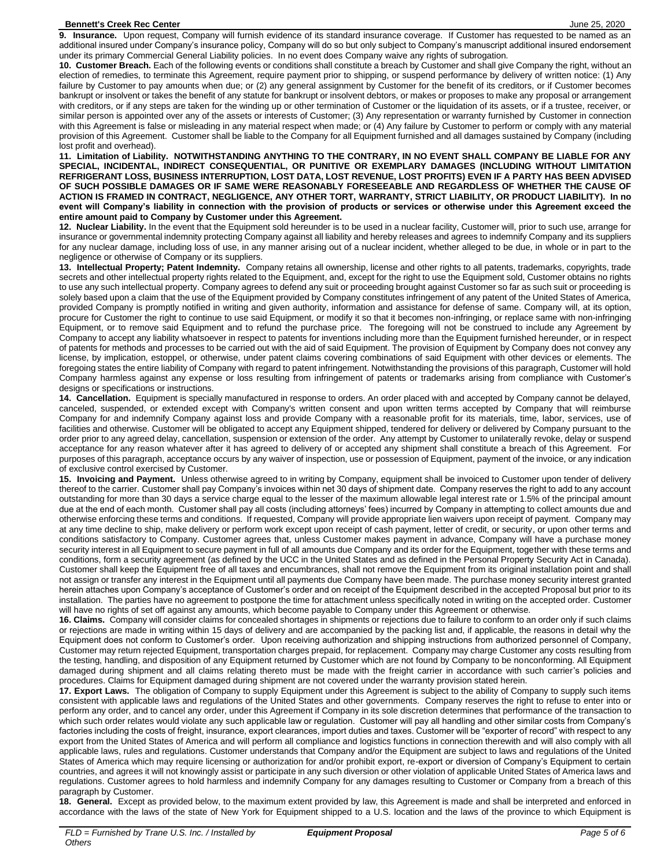**9. Insurance.** Upon request, Company will furnish evidence of its standard insurance coverage. If Customer has requested to be named as an additional insured under Company's insurance policy, Company will do so but only subject to Company's manuscript additional insured endorsement under its primary Commercial General Liability policies. In no event does Company waive any rights of subrogation.

**10. Customer Breach.** Each of the following events or conditions shall constitute a breach by Customer and shall give Company the right, without an election of remedies, to terminate this Agreement, require payment prior to shipping, or suspend performance by delivery of written notice: (1) Any failure by Customer to pay amounts when due; or (2) any general assignment by Customer for the benefit of its creditors, or if Customer becomes bankrupt or insolvent or takes the benefit of any statute for bankrupt or insolvent debtors, or makes or proposes to make any proposal or arrangement with creditors, or if any steps are taken for the winding up or other termination of Customer or the liquidation of its assets, or if a trustee, receiver, or similar person is appointed over any of the assets or interests of Customer; (3) Any representation or warranty furnished by Customer in connection with this Agreement is false or misleading in any material respect when made; or (4) Any failure by Customer to perform or comply with any material provision of this Agreement. Customer shall be liable to the Company for all Equipment furnished and all damages sustained by Company (including lost profit and overhead).

**11. Limitation of Liability. NOTWITHSTANDING ANYTHING TO THE CONTRARY, IN NO EVENT SHALL COMPANY BE LIABLE FOR ANY SPECIAL, INCIDENTAL, INDIRECT CONSEQUENTIAL, OR PUNITIVE OR EXEMPLARY DAMAGES (INCLUDING WITHOUT LIMITATION REFRIGERANT LOSS, BUSINESS INTERRUPTION, LOST DATA, LOST REVENUE, LOST PROFITS) EVEN IF A PARTY HAS BEEN ADVISED OF SUCH POSSIBLE DAMAGES OR IF SAME WERE REASONABLY FORESEEABLE AND REGARDLESS OF WHETHER THE CAUSE OF ACTION IS FRAMED IN CONTRACT, NEGLIGENCE, ANY OTHER TORT, WARRANTY, STRICT LIABILITY, OR PRODUCT LIABILITY). In no event will Company's liability in connection with the provision of products or services or otherwise under this Agreement exceed the entire amount paid to Company by Customer under this Agreement.**

**12. Nuclear Liability.** In the event that the Equipment sold hereunder is to be used in a nuclear facility, Customer will, prior to such use, arrange for insurance or governmental indemnity protecting Company against all liability and hereby releases and agrees to indemnify Company and its suppliers for any nuclear damage, including loss of use, in any manner arising out of a nuclear incident, whether alleged to be due, in whole or in part to the negligence or otherwise of Company or its suppliers.

**13. Intellectual Property; Patent Indemnity.** Company retains all ownership, license and other rights to all patents, trademarks, copyrights, trade secrets and other intellectual property rights related to the Equipment, and, except for the right to use the Equipment sold, Customer obtains no rights to use any such intellectual property. Company agrees to defend any suit or proceeding brought against Customer so far as such suit or proceeding is solely based upon a claim that the use of the Equipment provided by Company constitutes infringement of any patent of the United States of America, provided Company is promptly notified in writing and given authority, information and assistance for defense of same. Company will, at its option, procure for Customer the right to continue to use said Equipment, or modify it so that it becomes non-infringing, or replace same with non-infringing Equipment, or to remove said Equipment and to refund the purchase price. The foregoing will not be construed to include any Agreement by Company to accept any liability whatsoever in respect to patents for inventions including more than the Equipment furnished hereunder, or in respect of patents for methods and processes to be carried out with the aid of said Equipment. The provision of Equipment by Company does not convey any license, by implication, estoppel, or otherwise, under patent claims covering combinations of said Equipment with other devices or elements. The foregoing states the entire liability of Company with regard to patent infringement. Notwithstanding the provisions of this paragraph, Customer will hold Company harmless against any expense or loss resulting from infringement of patents or trademarks arising from compliance with Customer's designs or specifications or instructions.

**14. Cancellation.** Equipment is specially manufactured in response to orders. An order placed with and accepted by Company cannot be delayed, canceled, suspended, or extended except with Company's written consent and upon written terms accepted by Company that will reimburse Company for and indemnify Company against loss and provide Company with a reasonable profit for its materials, time, labor, services, use of facilities and otherwise. Customer will be obligated to accept any Equipment shipped, tendered for delivery or delivered by Company pursuant to the order prior to any agreed delay, cancellation, suspension or extension of the order. Any attempt by Customer to unilaterally revoke, delay or suspend acceptance for any reason whatever after it has agreed to delivery of or accepted any shipment shall constitute a breach of this Agreement. For purposes of this paragraph, acceptance occurs by any waiver of inspection, use or possession of Equipment, payment of the invoice, or any indication of exclusive control exercised by Customer.

**15. Invoicing and Payment.** Unless otherwise agreed to in writing by Company, equipment shall be invoiced to Customer upon tender of delivery thereof to the carrier. Customer shall pay Company's invoices within net 30 days of shipment date. Company reserves the right to add to any account outstanding for more than 30 days a service charge equal to the lesser of the maximum allowable legal interest rate or 1.5% of the principal amount due at the end of each month. Customer shall pay all costs (including attorneys' fees) incurred by Company in attempting to collect amounts due and otherwise enforcing these terms and conditions. If requested, Company will provide appropriate lien waivers upon receipt of payment. Company may at any time decline to ship, make delivery or perform work except upon receipt of cash payment, letter of credit, or security, or upon other terms and conditions satisfactory to Company. Customer agrees that, unless Customer makes payment in advance, Company will have a purchase money security interest in all Equipment to secure payment in full of all amounts due Company and its order for the Equipment, together with these terms and conditions, form a security agreement (as defined by the UCC in the United States and as defined in the Personal Property Security Act in Canada). Customer shall keep the Equipment free of all taxes and encumbrances, shall not remove the Equipment from its original installation point and shall not assign or transfer any interest in the Equipment until all payments due Company have been made. The purchase money security interest granted herein attaches upon Company's acceptance of Customer's order and on receipt of the Equipment described in the accepted Proposal but prior to its installation. The parties have no agreement to postpone the time for attachment unless specifically noted in writing on the accepted order. Customer will have no rights of set off against any amounts, which become payable to Company under this Agreement or otherwise.

**16. Claims.** Company will consider claims for concealed shortages in shipments or rejections due to failure to conform to an order only if such claims or rejections are made in writing within 15 days of delivery and are accompanied by the packing list and, if applicable, the reasons in detail why the Equipment does not conform to Customer's order. Upon receiving authorization and shipping instructions from authorized personnel of Company, Customer may return rejected Equipment, transportation charges prepaid, for replacement. Company may charge Customer any costs resulting from the testing, handling, and disposition of any Equipment returned by Customer which are not found by Company to be nonconforming. All Equipment damaged during shipment and all claims relating thereto must be made with the freight carrier in accordance with such carrier's policies and procedures. Claims for Equipment damaged during shipment are not covered under the warranty provision stated herein.

**17. Export Laws.** The obligation of Company to supply Equipment under this Agreement is subject to the ability of Company to supply such items consistent with applicable laws and regulations of the United States and other governments. Company reserves the right to refuse to enter into or perform any order, and to cancel any order, under this Agreement if Company in its sole discretion determines that performance of the transaction to which such order relates would violate any such applicable law or regulation. Customer will pay all handling and other similar costs from Company's factories including the costs of freight, insurance, export clearances, import duties and taxes. Customer will be "exporter of record" with respect to any export from the United States of America and will perform all compliance and logistics functions in connection therewith and will also comply with all applicable laws, rules and regulations. Customer understands that Company and/or the Equipment are subject to laws and regulations of the United States of America which may require licensing or authorization for and/or prohibit export, re-export or diversion of Company's Equipment to certain countries, and agrees it will not knowingly assist or participate in any such diversion or other violation of applicable United States of America laws and regulations. Customer agrees to hold harmless and indemnify Company for any damages resulting to Customer or Company from a breach of this paragraph by Customer.

**18. General.** Except as provided below, to the maximum extent provided by law, this Agreement is made and shall be interpreted and enforced in accordance with the laws of the state of New York for Equipment shipped to a U.S. location and the laws of the province to which Equipment is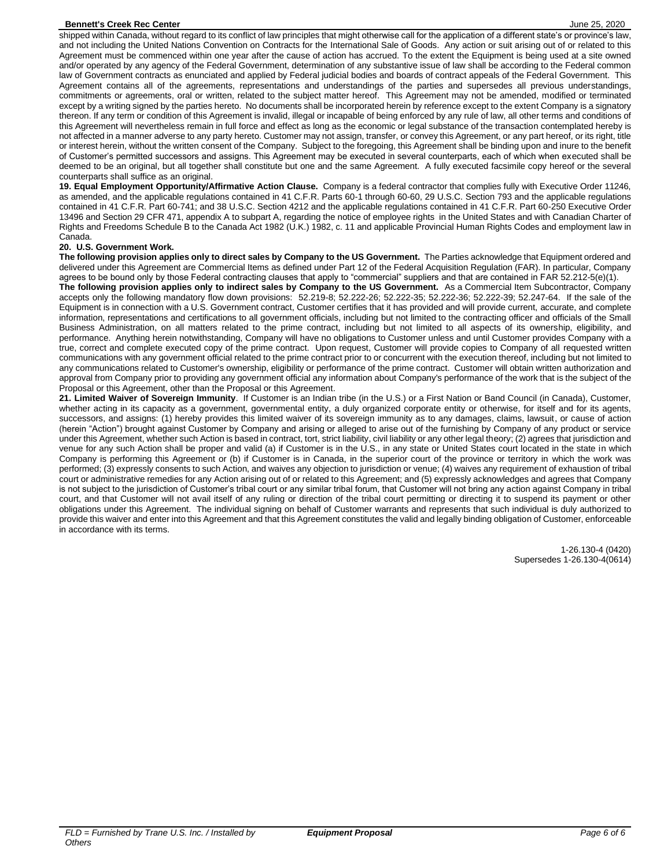#### **Bennett's Creek Rec Center Creek Record Contents and Creek Automobile 25, 2020** June 25, 2020

shipped within Canada, without regard to its conflict of law principles that might otherwise call for the application of a different state's or province's law, and not including the United Nations Convention on Contracts for the International Sale of Goods. Any action or suit arising out of or related to this Agreement must be commenced within one year after the cause of action has accrued. To the extent the Equipment is being used at a site owned and/or operated by any agency of the Federal Government, determination of any substantive issue of law shall be according to the Federal common law of Government contracts as enunciated and applied by Federal judicial bodies and boards of contract appeals of the Federal Government. This Agreement contains all of the agreements, representations and understandings of the parties and supersedes all previous understandings, commitments or agreements, oral or written, related to the subject matter hereof. This Agreement may not be amended, modified or terminated except by a writing signed by the parties hereto. No documents shall be incorporated herein by reference except to the extent Company is a signatory thereon. If any term or condition of this Agreement is invalid, illegal or incapable of being enforced by any rule of law, all other terms and conditions of this Agreement will nevertheless remain in full force and effect as long as the economic or legal substance of the transaction contemplated hereby is not affected in a manner adverse to any party hereto. Customer may not assign, transfer, or convey this Agreement, or any part hereof, or its right, title or interest herein, without the written consent of the Company. Subject to the foregoing, this Agreement shall be binding upon and inure to the benefit of Customer's permitted successors and assigns. This Agreement may be executed in several counterparts, each of which when executed shall be deemed to be an original, but all together shall constitute but one and the same Agreement. A fully executed facsimile copy hereof or the several counterparts shall suffice as an original.

**19. Equal Employment Opportunity/Affirmative Action Clause.** Company is a federal contractor that complies fully with Executive Order 11246, as amended, and the applicable regulations contained in 41 C.F.R. Parts 60-1 through 60-60, 29 U.S.C. Section 793 and the applicable regulations contained in 41 C.F.R. Part 60-741; and 38 U.S.C. Section 4212 and the applicable regulations contained in 41 C.F.R. Part 60-250 Executive Order 13496 and Section 29 CFR 471, appendix A to subpart A, regarding the notice of employee rights in the United States and with Canadian Charter of Rights and Freedoms Schedule B to the Canada Act 1982 (U.K.) 1982, c. 11 and applicable Provincial Human Rights Codes and employment law in Canada.

#### **20. U.S. Government Work.**

**The following provision applies only to direct sales by Company to the US Government.** The Parties acknowledge that Equipment ordered and delivered under this Agreement are Commercial Items as defined under Part 12 of the Federal Acquisition Regulation (FAR). In particular, Company agrees to be bound only by those Federal contracting clauses that apply to "commercial" suppliers and that are contained in FAR 52.212-5(e)(1).

**The following provision applies only to indirect sales by Company to the US Government.** As a Commercial Item Subcontractor, Company accepts only the following mandatory flow down provisions: 52.219-8; 52.222-26; 52.222-35; 52.222-36; 52.222-39; 52.247-64. If the sale of the Equipment is in connection with a U.S. Government contract, Customer certifies that it has provided and will provide current, accurate, and complete information, representations and certifications to all government officials, including but not limited to the contracting officer and officials of the Small Business Administration, on all matters related to the prime contract, including but not limited to all aspects of its ownership, eligibility, and performance. Anything herein notwithstanding, Company will have no obligations to Customer unless and until Customer provides Company with a true, correct and complete executed copy of the prime contract. Upon request, Customer will provide copies to Company of all requested written communications with any government official related to the prime contract prior to or concurrent with the execution thereof, including but not limited to any communications related to Customer's ownership, eligibility or performance of the prime contract. Customer will obtain written authorization and approval from Company prior to providing any government official any information about Company's performance of the work that is the subject of the Proposal or this Agreement, other than the Proposal or this Agreement.

**21. Limited Waiver of Sovereign Immunity**. If Customer is an Indian tribe (in the U.S.) or a First Nation or Band Council (in Canada), Customer, whether acting in its capacity as a government, governmental entity, a duly organized corporate entity or otherwise, for itself and for its agents, successors, and assigns: (1) hereby provides this limited waiver of its sovereign immunity as to any damages, claims, lawsuit, or cause of action (herein "Action") brought against Customer by Company and arising or alleged to arise out of the furnishing by Company of any product or service under this Agreement, whether such Action is based in contract, tort, strict liability, civil liability or any other legal theory; (2) agrees that jurisdiction and venue for any such Action shall be proper and valid (a) if Customer is in the U.S., in any state or United States court located in the state in which Company is performing this Agreement or (b) if Customer is in Canada, in the superior court of the province or territory in which the work was performed; (3) expressly consents to such Action, and waives any objection to jurisdiction or venue; (4) waives any requirement of exhaustion of tribal court or administrative remedies for any Action arising out of or related to this Agreement; and (5) expressly acknowledges and agrees that Company is not subject to the jurisdiction of Customer's tribal court or any similar tribal forum, that Customer will not bring any action against Company in tribal court, and that Customer will not avail itself of any ruling or direction of the tribal court permitting or directing it to suspend its payment or other obligations under this Agreement. The individual signing on behalf of Customer warrants and represents that such individual is duly authorized to provide this waiver and enter into this Agreement and that this Agreement constitutes the valid and legally binding obligation of Customer, enforceable in accordance with its terms.

> 1-26.130-4 (0420) Supersedes 1-26.130-4(0614)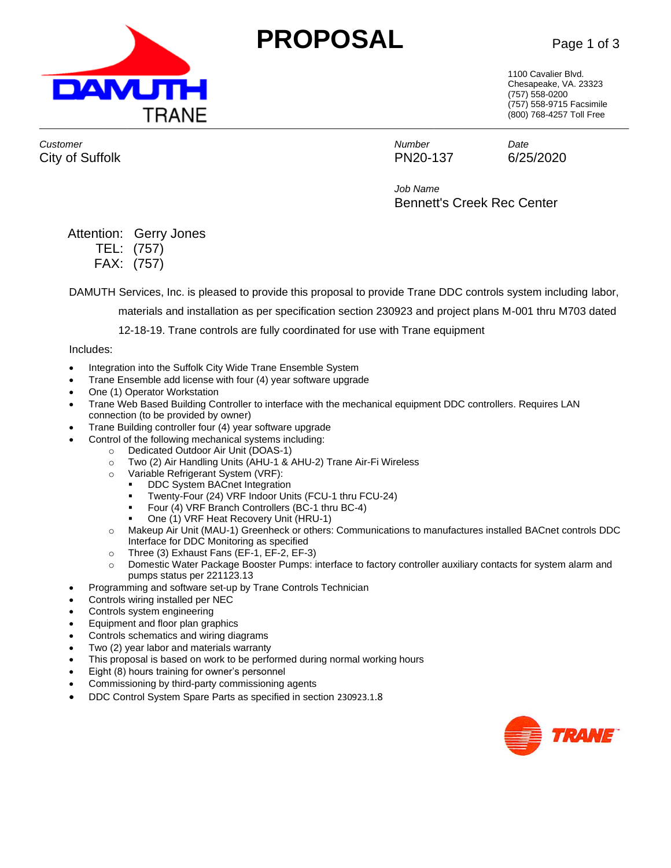



1100 Cavalier Blvd. Chesapeake, VA. 23323 (757) 558-0200 (757) 558-9715 Facsimile (800) 768-4257 Toll Free

*Customer Number Date* City of Suffolk **PN20-137** 6/25/2020

*Job Name* Bennett's Creek Rec Center

# Attention: Gerry Jones

TEL: (757) FAX: (757)

DAMUTH Services, Inc. is pleased to provide this proposal to provide Trane DDC controls system including labor,

materials and installation as per specification section 230923 and project plans M-001 thru M703 dated

12-18-19. Trane controls are fully coordinated for use with Trane equipment

#### Includes:

- Integration into the Suffolk City Wide Trane Ensemble System
- Trane Ensemble add license with four (4) year software upgrade
- One (1) Operator Workstation
- Trane Web Based Building Controller to interface with the mechanical equipment DDC controllers. Requires LAN connection (to be provided by owner)
- Trane Building controller four (4) year software upgrade
- Control of the following mechanical systems including:
	- o Dedicated Outdoor Air Unit (DOAS-1)
	- o Two (2) Air Handling Units (AHU-1 & AHU-2) Trane Air-Fi Wireless
	- o Variable Refrigerant System (VRF):
		- DDC System BACnet Integration
		- Twenty-Four (24) VRF Indoor Units (FCU-1 thru FCU-24)
		- Four (4) VRF Branch Controllers (BC-1 thru BC-4)
		- One (1) VRF Heat Recovery Unit (HRU-1)
	- o Makeup Air Unit (MAU-1) Greenheck or others: Communications to manufactures installed BACnet controls DDC Interface for DDC Monitoring as specified
	- o Three (3) Exhaust Fans (EF-1, EF-2, EF-3)
	- o Domestic Water Package Booster Pumps: interface to factory controller auxiliary contacts for system alarm and pumps status per 221123.13
- Programming and software set-up by Trane Controls Technician
- Controls wiring installed per NEC
- Controls system engineering
- Equipment and floor plan graphics
- Controls schematics and wiring diagrams
- Two (2) year labor and materials warranty
- This proposal is based on work to be performed during normal working hours
- Eight (8) hours training for owner's personnel
- Commissioning by third-party commissioning agents
- DDC Control System Spare Parts as specified in section 230923.1.8

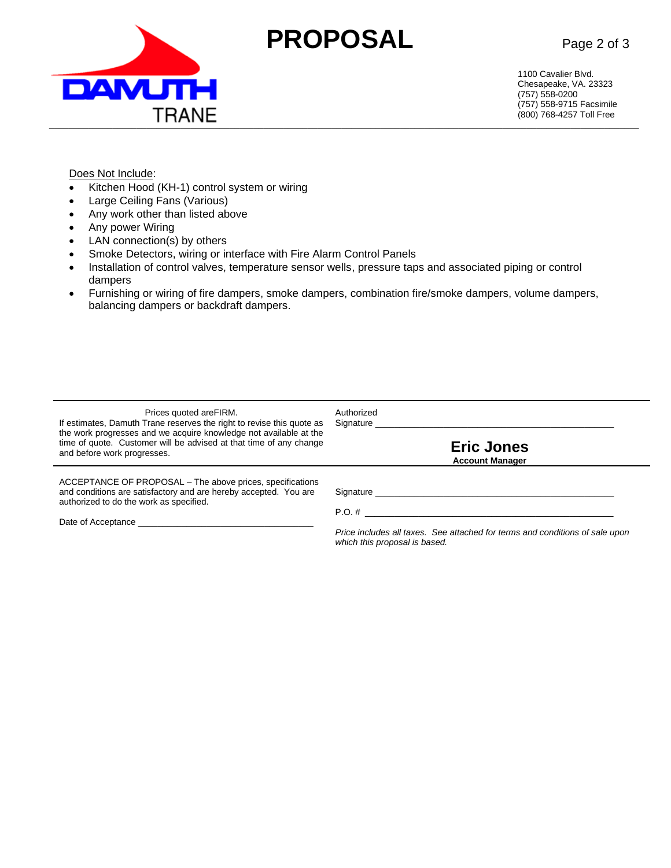

# **PROPOSAL** Page 2 of 3

1100 Cavalier Blvd. Chesapeake, VA. 23323 (757) 558-0200 (757) 558-9715 Facsimile (800) 768-4257 Toll Free

#### Does Not Include:

- Kitchen Hood (KH-1) control system or wiring
- Large Ceiling Fans (Various)
- Any work other than listed above
- Any power Wiring
- LAN connection(s) by others
- Smoke Detectors, wiring or interface with Fire Alarm Control Panels
- Installation of control valves, temperature sensor wells, pressure taps and associated piping or control dampers
- Furnishing or wiring of fire dampers, smoke dampers, combination fire/smoke dampers, volume dampers, balancing dampers or backdraft dampers.

| Prices quoted are FIRM.<br>If estimates, Damuth Trane reserves the right to revise this quote as<br>the work progresses and we acquire knowledge not available at the<br>time of quote. Customer will be advised at that time of any change<br>and before work progresses. | Authorized<br>Signature<br><b>Eric Jones</b><br><b>Account Manager</b>       |
|----------------------------------------------------------------------------------------------------------------------------------------------------------------------------------------------------------------------------------------------------------------------------|------------------------------------------------------------------------------|
| ACCEPTANCE OF PROPOSAL – The above prices, specifications                                                                                                                                                                                                                  | Signature _____________                                                      |
| and conditions are satisfactory and are hereby accepted. You are                                                                                                                                                                                                           | $P.O. \#$                                                                    |
| authorized to do the work as specified.                                                                                                                                                                                                                                    | Price includes all taxes. See attached for terms and conditions of sale upon |
|                                                                                                                                                                                                                                                                            | which this proposal is based.                                                |